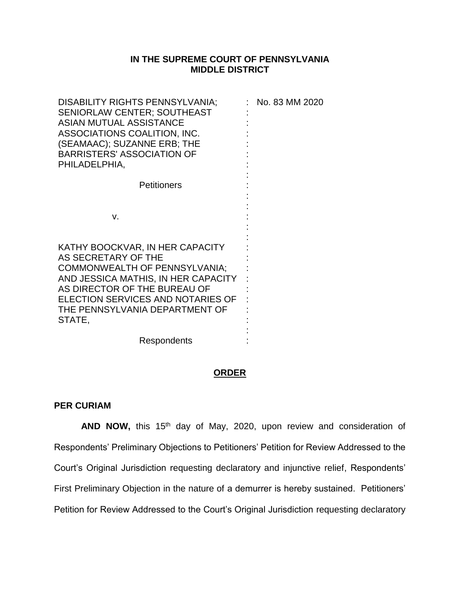## **IN THE SUPREME COURT OF PENNSYLVANIA MIDDLE DISTRICT**

| DISABILITY RIGHTS PENNSYLVANIA;<br><b>SENIORLAW CENTER; SOUTHEAST</b><br><b>ASIAN MUTUAL ASSISTANCE</b><br>ASSOCIATIONS COALITION, INC.<br>(SEAMAAC); SUZANNE ERB; THE<br><b>BARRISTERS' ASSOCIATION OF</b><br>PHILADELPHIA,                           | : No. 83 MM 2020 |
|--------------------------------------------------------------------------------------------------------------------------------------------------------------------------------------------------------------------------------------------------------|------------------|
| <b>Petitioners</b>                                                                                                                                                                                                                                     |                  |
| V.                                                                                                                                                                                                                                                     |                  |
| KATHY BOOCKVAR, IN HER CAPACITY<br>AS SECRETARY OF THE<br><b>COMMONWEALTH OF PENNSYLVANIA;</b><br>AND JESSICA MATHIS, IN HER CAPACITY<br>AS DIRECTOR OF THE BUREAU OF<br>ELECTION SERVICES AND NOTARIES OF<br>THE PENNSYLVANIA DEPARTMENT OF<br>STATE, |                  |
| Respondents                                                                                                                                                                                                                                            |                  |

## **ORDER**

## **PER CURIAM**

AND NOW, this 15<sup>th</sup> day of May, 2020, upon review and consideration of Respondents' Preliminary Objections to Petitioners' Petition for Review Addressed to the Court's Original Jurisdiction requesting declaratory and injunctive relief, Respondents' First Preliminary Objection in the nature of a demurrer is hereby sustained. Petitioners' Petition for Review Addressed to the Court's Original Jurisdiction requesting declaratory